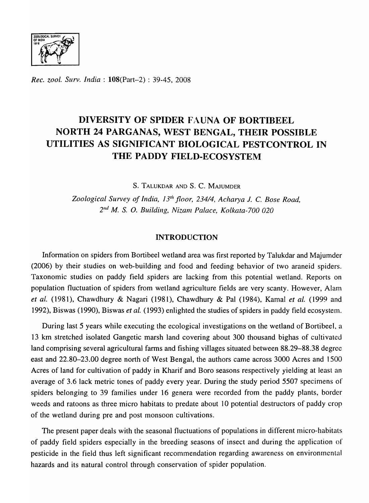

*Rec. zool. Surv. India:* l08(Part-2) : 39-45, 2008

# **DIVERSITY OF SPIDER** F,\UNA **OF BORTIBEEL NORTH 24 PARGANAS, WEST BENGAL, THEIR POSSIBLE UTILITIES AS SIGNIFICANT BIOLOGICAL PESTCONTROL IN THE PADDY FIELD-ECOSYSTEM**

S. TALUKDAR AND S. C. MAJUMDER

Zoological Survey of India, 13<sup>th</sup> floor, 234/4, Acharya J. C. Bose Road, *211£1 M.* s. O. *Building, Nizanl Palace, Kolkata-700 020* 

# **INTRODUCTION**

Information on spiders from Bortibeel wetland area was first reported by Talukdar and Majumder (2006) by their studies on web-building and food and feeding behavior of two araneid spiders. Taxonomic studies on paddy field spiders are lacking from this potential wetland. Reports on population fluctuation of spiders from wetland agriculture fields are very scanty. However, Alam *et ale* (1981), Chawdhury & Nagari (1981), Chawdhury & Pal (1984), Kamal *et al.* (1999 and 1992), Biswas (1990), Biswas *et al.* (1993) enlighted the studies of spiders in paddy field ecosystem.

During last 5 years while executing the ecological investigations on the wetland of Bortibeel, a 13 km stretched isolated Gangetic marsh land covering about 300 thousand bighas of cultivated land comprising several agricultural farms and fishing villages situated between 88.29-88.38 degree east and 22.80-23.00 degree north of West Bengal, the authors came across 3000 Acres and 1500 Acres of land for cultivation of paddy in Kharif and Boro seasons respectively yielding at least an average of 3.6 lack metric tones of paddy every year. During the study period 5507 specimens of spiders belonging to 39 families under 16 genera were recorded from the paddy plants, border weeds and ratoons as three micro habitats to predate about 10 potential destructors of paddy crop of the wetland during pre and post monsoon cultivations.

The present paper deals with the seasonal fluctuations of populations in different micro-habitats of paddy field spiders especially in the breeding seasons of insect and during the application of pesticide in the field thus left significant recommendation regarding awareness on environrnental hazards and its natural control through conservation of spider population.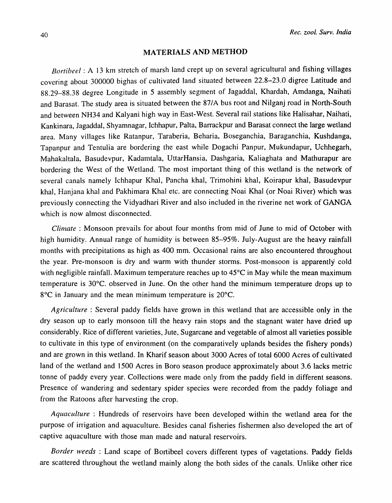#### MATERIALS AND METHOD

*Bortibeel* : A 13 km stretch of marsh land crept up on several agricultural and fishing villages covering about 300000 bighas of cultivated land situated between 22.8-23.0 digree Latitude and 88.29-88.38 degree Longitude in 5 assembly segment of Jagaddal, Khardah, Amdanga, Naihati and Barasat. The study area is situated between the 87/A bus root and Nilganj road in North-South and between NH34 and Kalyani high way in East-West. Several rail stations like Halisahar, Naihati, Kankinara, Jagaddal, Shyamnagar, Ichhapur, Palta, Barrackpur and Barasat connect the large wetland area. Many vil1ages like Ratanpur, Taraberia, Beharia, Boseganchia, Baraganchia, Kushdanga, Tapanpur and Tentulia are bordering the east while Dogachi Panpur, Mukundapur, Uchhegarh, Mahakaltala, Basudevpur, Kadamtala, UttarHansia, Dashgaria, Kaliaghata and Mathurapur are bordering the West of the Wetland. The most important thing of this wetland is the network of several canals namely Ichhapur Khal, Pancha khal, Trimohini khal, Koirapur khal, Basudevpur khal, Hanjana khal and Pakhimara Khal etc. are connecting Noai Khal (or Noai River) which was previously connecting the Vidyadhari River and also included in the riverine net work of GANGA which is now almost disconnected.

*Climate* : Monsoon prevails for about four months from mid of June to mid of October with high humidity. Annual range of humidity is between 85-95%. July-August are the heavy rainfall months with precipitations as high as 400 mm. Occasional rains are also encountered throughout the year. Pre-monsoon is dry and warm with thunder storms. Post-monsoon is apparently cold with negligible rainfall. Maximum temperature reaches up to  $45^{\circ}$ C in May while the mean maximum temperature is 30°C. observed in June. On the other hand the minimum temperature drops up to  $8^{\circ}$ C in January and the mean minimum temperature is  $20^{\circ}$ C.

*Agriculture:* Several paddy fields have grown in this wetland that are accessible only in the dry season up to early monsoon till the heavy rain stops and the stagnant water have dried up considerably. Rice of different varieties, Jute, Sugarcane and vegetable of almost all varieties possible to cultivate in this type of environment (on the comparatively uplands besides the fishery ponds) and are grown in this wetland. In Kharif season about 3000 Acres of total 6000 Acres of cultivated land of the wetland and 1500 Acres in Boro season produce approximately about 3.6 lacks metric tonne of paddy every year. Collections were made only from the paddy field in different seasons. Presence of wandering and sedentary spider species were recorded from the paddy foliage and from the Ratoons after harvesting the crop.

*Aquaculture* : Hundreds of reservoirs have been developed within the wetland area for the purpose of irrigation and aquaculture. Besides canal fisheries fishermen also developed the art of captive aquaculture with those man made and natural reservoirs.

*Border weeds* : Land scape of Bortibeel covers different types of vagetations. Paddy fields are scattered throughout the wetland mainly along the both sides of the canals. Unlike other rice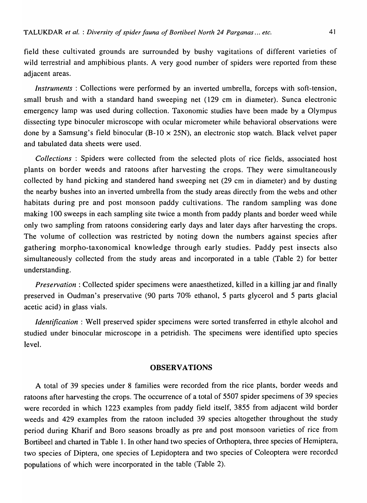field these cultivated grounds are surrounded by bushy vagitations of different varieties of wild terrestrial and amphibious plants. A very good number of spiders were reported from these adiacent areas.

*Instruments* : Collections were performed by an inverted umbrella, forceps with soft-tension, small brush and with a standard hand sweeping net (129 cm in diameter). Sunca electronic emergency lamp was used during collection. Taxonomic studies have been made by a Olympus dissecting type binoculer microscope with ocular micrometer while behavioral observations were done by a Samsung's field binocular (B-10  $\times$  25N), an electronic stop watch. Black velvet paper and tabulated data sheets were used.

*Collections* : Spiders were collected from the selected plots of rice fields, associated host plants on border weeds and ratoons after harvesting the crops. They were simultaneously collected by hand picking and standered hand sweeping net (29 cm in diameter) and by dusting the nearby bushes into an inverted umbrella from the study areas directly from the webs and other habitats during pre and post monsoon paddy cultivations. The random sampling was done making 100 sweeps in each sampling site twice a month from paddy plants and border weed while only two sampling from ratoons considering early days and later days after harvesting the crops. The volume of collection was restricted by noting down the numbers against species after gathering morpho-taxonomical knowledge through early studies. Paddy pest insects also simultaneously collected from the study areas and incorporated in a table (Table 2) for better understanding.

*Preservation:* Collected spider specimens were anaesthetized, killed in a killing jar and finally preserved in Oudman's preservative (90 parts 70% ethanol, 5 parts glycerol and 5 parts glacial acetic acid) in glass vials.

*Identification:* Well preserved spider specimens were sorted transferred in ethyle alcohol and studied under binocular microscope in a petridish. The specimens were identified upto species level.

# **OBSERVATIONS**

A total of 39 species under 8 families were recorded from the rice plants, border weeds and ratoons after harvesting the crops. The occurrence of a total of 5507 spider specimens of 39 species were recorded in which 1223 examples from paddy field itself, 3855 from adjacent wild border weeds and 429 examples from the ratoon included 39 species altogether throughout the study period during Kharif and Boro seasons broadly as pre and post monsoon varieties of rice from Bortibeel and charted in Table 1. In other hand two species of Orthoptera, three species of Hemiptera, two species of Diptera, one species of Lepidoptera and two species of Coleoptera were recorded populations of which were incorporated in the table (Table 2).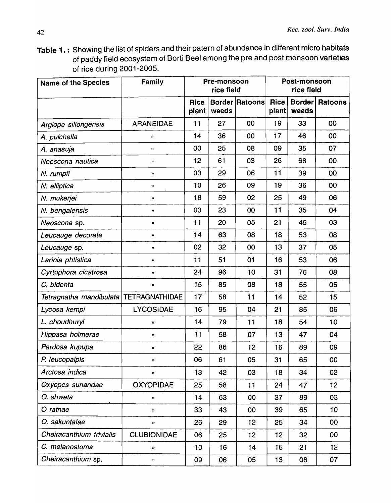Table 1. : Showing the list of spiders and their patern of abundance in different micro habitats of paddy field ecosystem of Borti Beel among the pre and post monsoon varieties of rice during 2001-2005.

| <b>Name of the Species</b> | <b>Family</b>         | Pre-monsoon<br>rice field |       | Post-monsoon<br>rice field |                      |                        |                |
|----------------------------|-----------------------|---------------------------|-------|----------------------------|----------------------|------------------------|----------------|
|                            |                       | <b>Rice</b><br>plant      | weeds | <b>Border Ratoons</b>      | <b>Rice</b><br>plant | <b>Border</b><br>weeds | <b>Ratoons</b> |
| Argiope sillongensis       | <b>ARANEIDAE</b>      | 11                        | 27    | 00                         | 19                   | 33                     | 00             |
| A. pulchella               | 99                    | 14                        | 36    | 00                         | 17                   | 46                     | 00             |
| A. anasuja                 | $\pmb{\mathfrak{y}}$  | 00                        | 25    | 08                         | 09                   | 35                     | 07             |
| Neoscona nautica           | ,,                    | 12                        | 61    | 03                         | 26                   | 68                     | 00             |
| N. rumpfi                  | 33                    | 03                        | 29    | 06                         | 11                   | 39                     | 00             |
| N. elliptica               | ,,                    | 10                        | 26    | 09                         | 19                   | 36                     | 00             |
| N. mukerjei                | 33                    | 18                        | 59    | 02                         | 25                   | 49                     | 06             |
| N. bengalensis             | ,,                    | 03                        | 23    | 00                         | 11                   | 35                     | 04             |
| Neoscona sp.               | $\pmb{\mathfrak{y}}$  | 11                        | 20    | 05                         | 21                   | 45                     | 03             |
| Leucauge decorate          | ${\bf 11}$            | 14                        | 63    | 08                         | 18                   | 53                     | 08             |
| Leucauge sp.               | $\pmb{\mathfrak{y}}$  | 02                        | 32    | 00                         | 13                   | 37                     | 05             |
| Larinia phtistica          | $\mathbf{y}$          | 11                        | 51    | 01                         | 16                   | 53                     | 06             |
| Cyrtophora cicatrosa       | 99                    | 24                        | 96    | 10                         | 31                   | 76                     | 08             |
| C. bidenta                 | 99                    | 15                        | 85    | 08                         | 18                   | 55                     | 05             |
| Tetragnatha mandibulata    | <b>TETRAGNATHIDAE</b> | 17                        | 58    | 11                         | 14                   | 52                     | 15             |
| Lycosa kempi               | <b>LYCOSIDAE</b>      | 16                        | 95    | 04                         | 21                   | 85                     | 06             |
| L. choudhuryi              | "                     | 14                        | 79    | 11                         | 18                   | 54                     | 10             |
| Hippasa holmerae           | 99                    | 11                        | 58    | 07                         | 13                   | 47                     | 04             |
| Pardosa kupupa             |                       | 22                        | 86    | 12                         | 16                   | 89                     | 09             |
| P. leucopalpis             | 33                    | 06                        | 61    | 05                         | 31                   | 65                     | 00             |
| Arctosa indica             | 99                    | 13                        | 42    | 03                         | 18                   | 34                     | 02             |
| Oxyopes sunandae           | <b>OXYOPIDAE</b>      | 25                        | 58    | 11                         | 24                   | 47                     | 12             |
| O. shweta                  | 33                    | 14                        | 63    | 00                         | 37                   | 89                     | 03             |
| O ratnae                   | 99                    | 33                        | 43    | 00                         | 39                   | 65                     | 10             |
| O. sakuntalae              | "                     | 26                        | 29    | 12                         | 25                   | 34                     | 00             |
| Cheiracanthium trivialis   | <b>CLUBIONIDAE</b>    | 06                        | 25    | 12                         | 12                   | 32                     | 00             |
| C. melanostoma             | 99                    | 10                        | 16    | 14                         | 15                   | 21                     | 12             |
| Cheiracanthium sp.         | 33                    | 09                        | 06    | 05                         | 13                   | 08                     | 07             |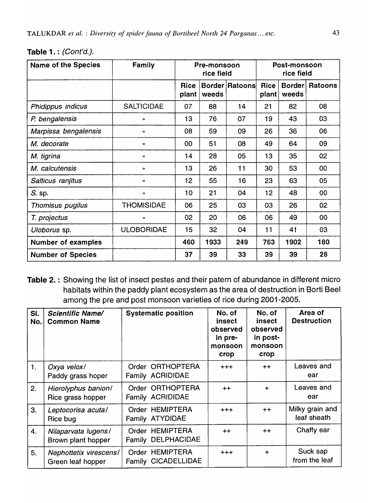| <b>Name of the Species</b> | Family                      | Pre-monsoon<br>rice field |       | Post-monsoon<br>rice field |               |                        |                |
|----------------------------|-----------------------------|---------------------------|-------|----------------------------|---------------|------------------------|----------------|
|                            |                             | <b>Rice</b><br>plant      | weeds | Border Ratoons             | Rice<br>plant | <b>Border</b><br>weeds | <b>Ratoons</b> |
| Phidippus indicus          | <b>SALTICIDAE</b>           | 07                        | 88    | 14                         | 21            | 82                     | 08             |
| P. bengalensis             | , 1                         | 13                        | 76    | 07                         | 19            | 43                     | 03             |
| Marpissa bengalensis       | ,,                          | 08                        | 59    | 09                         | 26            | 36                     | 06             |
| M. decorate                | $\boldsymbol{\eta}$         | 00                        | 51    | 08                         | 49            | 64                     | 09             |
| M. tigrina                 | $\boldsymbol{\mathfrak{y}}$ | 14                        | 28    | 05                         | 13            | 35                     | 02             |
| M. calcutensis             | $^{\prime\prime}$           | 13                        | 26    | 11                         | 30            | 53                     | 00             |
| Salticus ranjitus          | $\boldsymbol{\eta}$         | 12                        | 55    | 16                         | 23            | 63                     | 05             |
| S. sp.                     | $\mathbf{H}$                | 10                        | 21    | 04                         | 12            | 48                     | 00             |
| Thomisus pugilus           | <b>THOMISIDAE</b>           | 06                        | 25    | 03                         | 03            | 26                     | 02             |
| T. projectus               | ,,                          | 02                        | 20    | 06                         | 06            | 49                     | $00\,$         |
| Uloborus sp.               | <b>ULOBORIDAE</b>           | 15                        | 32    | 04                         | 11            | 41                     | 03             |
| <b>Number of examples</b>  |                             | 460                       | 1933  | 249                        | 763           | 1902                   | 180            |
| <b>Number of Species</b>   |                             | 37                        | 39    | 33                         | 39            | 39                     | 28             |

Table 1. : (Cont'd.).

Table 2. : Showing the list of insect pestes and their patern of abundance in different micro habitats within the paddy plant ecosystem as the area of destruction in Borti Beel among the pre and post monsoon varieties of rice during 2001-2005.

| SI.<br>No. | <b>Scientific Name/</b><br><b>Common Name</b> | <b>Systematic position</b>             | No. of<br>insect<br>observed<br>in pre-<br>monsoon<br>crop | No. of<br><i>insect</i><br>observed<br>in post-<br>monsoon<br>crop | Area of<br><b>Destruction</b>  |
|------------|-----------------------------------------------|----------------------------------------|------------------------------------------------------------|--------------------------------------------------------------------|--------------------------------|
| 1.         | Oxya velox/<br>Paddy grass hoper              | Order ORTHOPTERA<br>Family ACRIDIDAE   | $+ + +$                                                    | $++$                                                               | Leaves and<br>ear              |
| 2.         | Hierolyphus banion/<br>Rice grass hopper      | Order ORTHOPTERA<br>Family ACRIDIDAE   | $++$                                                       | $\ddot{}$                                                          | Leaves and<br>ear              |
| 3.         | Leptocorisa acuta/<br>Rice bug                | Order HEMIPTERA<br>Family ATYDIDAE     | $+ + +$                                                    | $++$                                                               | Milky grain and<br>leaf sheath |
| 4.         | Nilaparvata lugens/<br>Brown plant hopper     | Order HEMIPTERA<br>Family DELPHACIDAE  | $++$                                                       | $+ +$                                                              | Chaffy ear                     |
| 5.         | Nephottetix virescens/<br>Green leaf hopper   | Order HEMIPTERA<br>Family CICADELLIDAE | $+ + +$                                                    | $\ddot{}$                                                          | Suck sap<br>from the leaf      |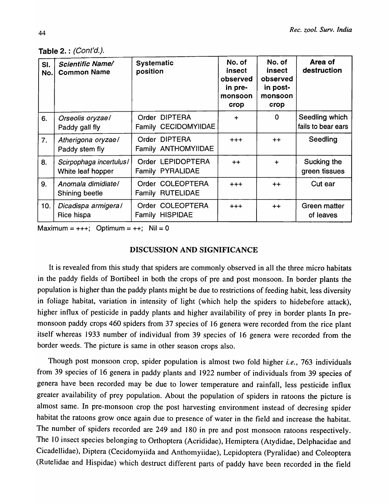|  | Table 2.: (Cont'd.). |
|--|----------------------|
|--|----------------------|

| SI.<br>No. | <b>Scientific Name/</b><br><b>Common Name</b> | <b>Systematic</b><br>position         | No. of<br>insect<br>observed<br>in pre-<br>monsoon<br>crop | No. of<br>insect<br>observed<br>in post-<br>monsoon<br>crop | Area of<br>destruction               |
|------------|-----------------------------------------------|---------------------------------------|------------------------------------------------------------|-------------------------------------------------------------|--------------------------------------|
| 6.         | Orseolis oryzae/<br>Paddy gall fly            | Order DIPTERA<br>Family CECIDOMYIIDAE | $\div$                                                     | $\Omega$                                                    | Seedling which<br>fails to bear ears |
| 7.         | Atherigona oryzae/<br>Paddy stem fly          | Order DIPTERA<br>Family ANTHOMYIIDAE  | $+ + +$                                                    | $++$                                                        | Seedling                             |
| 8.         | Scirpophaga incertulus/<br>White leaf hopper  | Order LEPIDOPTERA<br>Family PYRALIDAE | $++$                                                       | $+$                                                         | Sucking the<br>green tissues         |
| 9.         | Anomala dimidiate/<br>Shining beetle          | Order COLEOPTERA<br>Family RUTELIDAE  | $^{+++}$                                                   | $++$                                                        | Cut ear                              |
| 10.        | Dicadispa armigeral<br>Rice hispa             | Order COLEOPTERA<br>Family HISPIDAE   | $+ + +$                                                    | $++$                                                        | Green matter<br>of leaves            |

Maximum =  $++$ ; Optimum =  $++$ ; Nil = 0

#### DISCUSSION AND SIGNIFICANCE

It is revealed from this study that spiders are commonly observed in all the three micro habitats in the paddy fields of Bortibeel in both the crops of pre and post monsoon. In border plants the population is higher than the paddy plants might be due to restrictions of feeding habit, less diversity in foliage habitat, variation in intensity of light (which help the spiders to hidebefore attack), higher influx of pesticide in paddy plants and higher availability of prey in border plants In premonsoon paddy crops 460 spiders from 37 species of 16 genera were recorded from the rice plant itself whereas 1933 number of individual from 39 species of 16 genera were recorded from the border weeds. The picture is same in other season crops also.

Though post monsoon crop, spider population is almost two fold higher *i.e.,* 763 individuals from 39 species of 16 genera in paddy plants and 1922 number of individuals from 39 species of genera have been recorded may be due to lower temperature and rainfall, less pesticide influx greater availability of prey population. About the population of spiders in ratoons the picture is almost same. In pre-monsoon crop the post harvesting environment instead of decresing spider habitat the ratoons grow once again due to presence of water in the field and increase the habitat. The number of spiders recorded are 249 and 180 in pre and post monsoon ratoons respectively. The 10 insect species belonging to Orthoptera (Acrididae), Hemiptera (Atydidae, Delphacidae and Cicadel1idae), Diptera (Cecidomyiida and Anthomyiidae), Lepidoptera (Pyralidae) and Coleoptera (Rutelidae and Hispidae) which destruct different parts of paddy have been recorded in the field